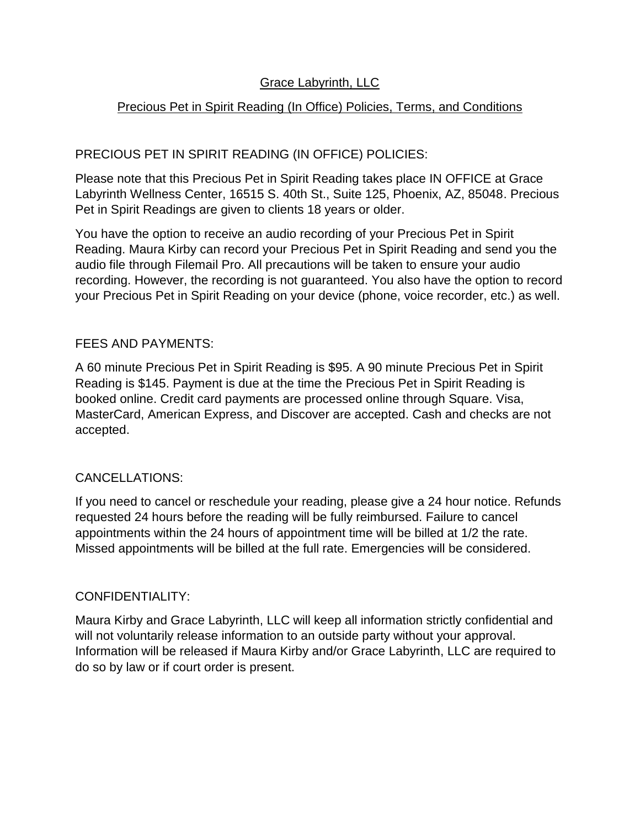# Grace Labyrinth, LLC

# Precious Pet in Spirit Reading (In Office) Policies, Terms, and Conditions

# PRECIOUS PET IN SPIRIT READING (IN OFFICE) POLICIES:

Please note that this Precious Pet in Spirit Reading takes place IN OFFICE at Grace Labyrinth Wellness Center, 16515 S. 40th St., Suite 125, Phoenix, AZ, 85048. Precious Pet in Spirit Readings are given to clients 18 years or older.

You have the option to receive an audio recording of your Precious Pet in Spirit Reading. Maura Kirby can record your Precious Pet in Spirit Reading and send you the audio file through Filemail Pro. All precautions will be taken to ensure your audio recording. However, the recording is not guaranteed. You also have the option to record your Precious Pet in Spirit Reading on your device (phone, voice recorder, etc.) as well.

### FEES AND PAYMENTS:

A 60 minute Precious Pet in Spirit Reading is \$95. A 90 minute Precious Pet in Spirit Reading is \$145. Payment is due at the time the Precious Pet in Spirit Reading is booked online. Credit card payments are processed online through Square. Visa, MasterCard, American Express, and Discover are accepted. Cash and checks are not accepted.

## CANCELLATIONS:

If you need to cancel or reschedule your reading, please give a 24 hour notice. Refunds requested 24 hours before the reading will be fully reimbursed. Failure to cancel appointments within the 24 hours of appointment time will be billed at 1/2 the rate. Missed appointments will be billed at the full rate. Emergencies will be considered.

#### CONFIDENTIALITY:

Maura Kirby and Grace Labyrinth, LLC will keep all information strictly confidential and will not voluntarily release information to an outside party without your approval. Information will be released if Maura Kirby and/or Grace Labyrinth, LLC are required to do so by law or if court order is present.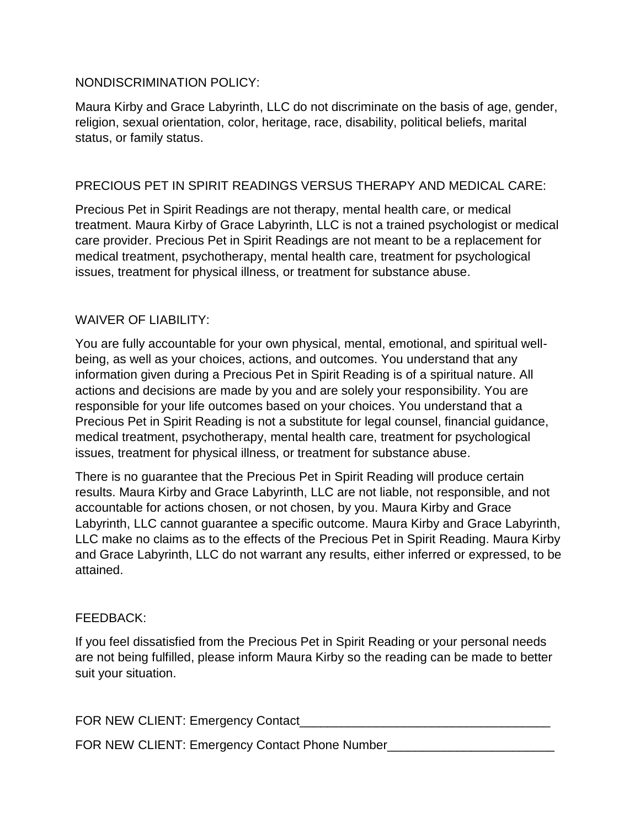#### NONDISCRIMINATION POLICY:

Maura Kirby and Grace Labyrinth, LLC do not discriminate on the basis of age, gender, religion, sexual orientation, color, heritage, race, disability, political beliefs, marital status, or family status.

### PRECIOUS PET IN SPIRIT READINGS VERSUS THERAPY AND MEDICAL CARE:

Precious Pet in Spirit Readings are not therapy, mental health care, or medical treatment. Maura Kirby of Grace Labyrinth, LLC is not a trained psychologist or medical care provider. Precious Pet in Spirit Readings are not meant to be a replacement for medical treatment, psychotherapy, mental health care, treatment for psychological issues, treatment for physical illness, or treatment for substance abuse.

### WAIVER OF LIABILITY:

You are fully accountable for your own physical, mental, emotional, and spiritual wellbeing, as well as your choices, actions, and outcomes. You understand that any information given during a Precious Pet in Spirit Reading is of a spiritual nature. All actions and decisions are made by you and are solely your responsibility. You are responsible for your life outcomes based on your choices. You understand that a Precious Pet in Spirit Reading is not a substitute for legal counsel, financial guidance, medical treatment, psychotherapy, mental health care, treatment for psychological issues, treatment for physical illness, or treatment for substance abuse.

There is no guarantee that the Precious Pet in Spirit Reading will produce certain results. Maura Kirby and Grace Labyrinth, LLC are not liable, not responsible, and not accountable for actions chosen, or not chosen, by you. Maura Kirby and Grace Labyrinth, LLC cannot guarantee a specific outcome. Maura Kirby and Grace Labyrinth, LLC make no claims as to the effects of the Precious Pet in Spirit Reading. Maura Kirby and Grace Labyrinth, LLC do not warrant any results, either inferred or expressed, to be attained.

#### FEEDBACK:

If you feel dissatisfied from the Precious Pet in Spirit Reading or your personal needs are not being fulfilled, please inform Maura Kirby so the reading can be made to better suit your situation.

FOR NEW CLIENT: Emergency Contact\_\_\_\_\_\_\_\_\_\_\_\_\_\_\_\_\_\_\_\_\_\_\_\_\_\_\_\_\_\_\_\_\_\_\_\_

FOR NEW CLIENT: Emergency Contact Phone Number\_\_\_\_\_\_\_\_\_\_\_\_\_\_\_\_\_\_\_\_\_\_\_\_\_\_\_\_\_\_\_\_\_\_